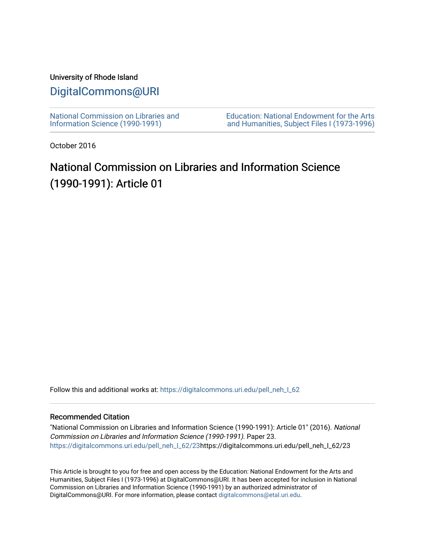### University of Rhode Island

### [DigitalCommons@URI](https://digitalcommons.uri.edu/)

[National Commission on Libraries and](https://digitalcommons.uri.edu/pell_neh_I_62) [Information Science \(1990-1991\)](https://digitalcommons.uri.edu/pell_neh_I_62) 

[Education: National Endowment for the Arts](https://digitalcommons.uri.edu/pell_neh_I)  [and Humanities, Subject Files I \(1973-1996\)](https://digitalcommons.uri.edu/pell_neh_I) 

October 2016

## National Commission on Libraries and Information Science (1990-1991): Article 01

Follow this and additional works at: https://digitalcommons.uri.edu/pell\_neh\_I\_62

#### Recommended Citation

"National Commission on Libraries and Information Science (1990-1991): Article 01" (2016). National Commission on Libraries and Information Science (1990-1991). Paper 23. [https://digitalcommons.uri.edu/pell\\_neh\\_I\\_62/23h](https://digitalcommons.uri.edu/pell_neh_I_62/23?utm_source=digitalcommons.uri.edu%2Fpell_neh_I_62%2F23&utm_medium=PDF&utm_campaign=PDFCoverPages)ttps://digitalcommons.uri.edu/pell\_neh\_I\_62/23

This Article is brought to you for free and open access by the Education: National Endowment for the Arts and Humanities, Subject Files I (1973-1996) at DigitalCommons@URI. It has been accepted for inclusion in National Commission on Libraries and Information Science (1990-1991) by an authorized administrator of DigitalCommons@URI. For more information, please contact [digitalcommons@etal.uri.edu.](mailto:digitalcommons@etal.uri.edu)